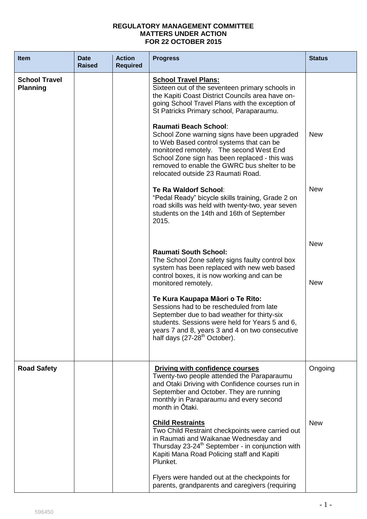## **REGULATORY MANAGEMENT COMMITTEE MATTERS UNDER ACTION FOR 22 OCTOBER 2015**

| <b>Item</b>                             | <b>Date</b><br><b>Raised</b> | <b>Action</b><br><b>Required</b> | <b>Progress</b>                                                                                                                                                                                                                                                                                            | <b>Status</b> |
|-----------------------------------------|------------------------------|----------------------------------|------------------------------------------------------------------------------------------------------------------------------------------------------------------------------------------------------------------------------------------------------------------------------------------------------------|---------------|
| <b>School Travel</b><br><b>Planning</b> |                              |                                  | <b>School Travel Plans:</b><br>Sixteen out of the seventeen primary schools in<br>the Kapiti Coast District Councils area have on-<br>going School Travel Plans with the exception of<br>St Patricks Primary school, Paraparaumu.                                                                          |               |
|                                         |                              |                                  | <b>Raumati Beach School:</b><br>School Zone warning signs have been upgraded<br>to Web Based control systems that can be<br>monitored remotely. The second West End<br>School Zone sign has been replaced - this was<br>removed to enable the GWRC bus shelter to be<br>relocated outside 23 Raumati Road. | <b>New</b>    |
|                                         |                              |                                  | Te Ra Waldorf School:<br>"Pedal Ready" bicycle skills training, Grade 2 on<br>road skills was held with twenty-two, year seven<br>students on the 14th and 16th of September<br>2015.                                                                                                                      | <b>New</b>    |
|                                         |                              |                                  |                                                                                                                                                                                                                                                                                                            | <b>New</b>    |
|                                         |                              |                                  | <b>Raumati South School:</b><br>The School Zone safety signs faulty control box<br>system has been replaced with new web based<br>control boxes, it is now working and can be<br>monitored remotely.                                                                                                       | <b>New</b>    |
|                                         |                              |                                  | Te Kura Kaupapa Māori o Te Rito:<br>Sessions had to be rescheduled from late<br>September due to bad weather for thirty-six<br>students. Sessions were held for Years 5 and 6,<br>years 7 and 8, years 3 and 4 on two consecutive<br>half days (27-28 <sup>th</sup> October).                              |               |
| <b>Road Safety</b>                      |                              |                                  | Driving with confidence courses<br>Twenty-two people attended the Paraparaumu<br>and Otaki Driving with Confidence courses run in<br>September and October. They are running<br>monthly in Paraparaumu and every second<br>month in Ōtaki.                                                                 | Ongoing       |
|                                         |                              |                                  | <b>Child Restraints</b><br>Two Child Restraint checkpoints were carried out<br>in Raumati and Waikanae Wednesday and<br>Thursday 23-24 <sup>th</sup> September - in conjunction with<br>Kapiti Mana Road Policing staff and Kapiti<br>Plunket.                                                             | <b>New</b>    |
|                                         |                              |                                  | Flyers were handed out at the checkpoints for<br>parents, grandparents and caregivers (requiring                                                                                                                                                                                                           |               |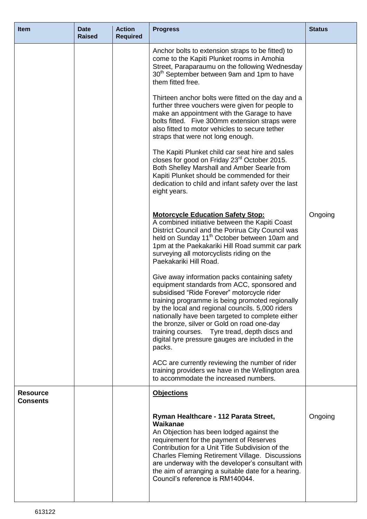| <b>Item</b>                        | <b>Date</b><br><b>Raised</b> | <b>Action</b><br><b>Required</b> | <b>Progress</b>                                                                                                                                                                                                                                                                                                                                                                                                                                                    | <b>Status</b> |
|------------------------------------|------------------------------|----------------------------------|--------------------------------------------------------------------------------------------------------------------------------------------------------------------------------------------------------------------------------------------------------------------------------------------------------------------------------------------------------------------------------------------------------------------------------------------------------------------|---------------|
|                                    |                              |                                  | Anchor bolts to extension straps to be fitted) to<br>come to the Kapiti Plunket rooms in Amohia<br>Street, Paraparaumu on the following Wednesday<br>30 <sup>th</sup> September between 9am and 1pm to have<br>them fitted free.                                                                                                                                                                                                                                   |               |
|                                    |                              |                                  | Thirteen anchor bolts were fitted on the day and a<br>further three vouchers were given for people to<br>make an appointment with the Garage to have<br>bolts fitted. Five 300mm extension straps were<br>also fitted to motor vehicles to secure tether<br>straps that were not long enough.                                                                                                                                                                      |               |
|                                    |                              |                                  | The Kapiti Plunket child car seat hire and sales<br>closes for good on Friday 23 <sup>rd</sup> October 2015.<br>Both Shelley Marshall and Amber Searle from<br>Kapiti Plunket should be commended for their<br>dedication to child and infant safety over the last<br>eight years.                                                                                                                                                                                 |               |
|                                    |                              |                                  | <b>Motorcycle Education Safety Stop:</b><br>A combined initiative between the Kapiti Coast<br>District Council and the Porirua City Council was<br>held on Sunday 11 <sup>th</sup> October between 10am and<br>1pm at the Paekakariki Hill Road summit car park<br>surveying all motorcyclists riding on the<br>Paekakariki Hill Road.                                                                                                                             | Ongoing       |
|                                    |                              |                                  | Give away information packs containing safety<br>equipment standards from ACC, sponsored and<br>subsidised "Ride Forever" motorcycle rider<br>training programme is being promoted regionally<br>by the local and regional councils. 5,000 riders<br>nationally have been targeted to complete either<br>the bronze, silver or Gold on road one-day<br>training courses. Tyre tread, depth discs and<br>digital tyre pressure gauges are included in the<br>packs. |               |
|                                    |                              |                                  | ACC are currently reviewing the number of rider<br>training providers we have in the Wellington area<br>to accommodate the increased numbers.                                                                                                                                                                                                                                                                                                                      |               |
| <b>Resource</b><br><b>Consents</b> |                              |                                  | <b>Objections</b>                                                                                                                                                                                                                                                                                                                                                                                                                                                  |               |
|                                    |                              |                                  | Ryman Healthcare - 112 Parata Street,<br>Waikanae<br>An Objection has been lodged against the<br>requirement for the payment of Reserves<br>Contribution for a Unit Title Subdivision of the<br><b>Charles Fleming Retirement Village. Discussions</b><br>are underway with the developer's consultant with<br>the aim of arranging a suitable date for a hearing.<br>Council's reference is RM140044.                                                             | Ongoing       |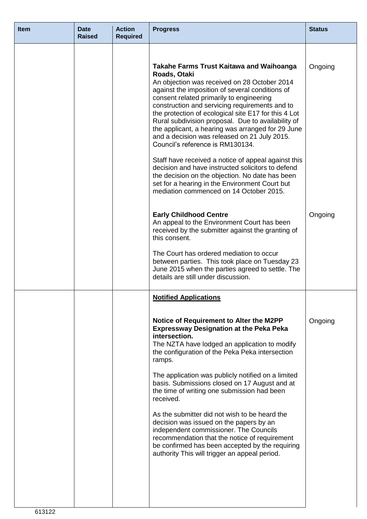| <b>Item</b> | <b>Date</b><br><b>Raised</b> | <b>Action</b><br><b>Required</b> | <b>Progress</b>                                                                                                                                                                                                                                                                                                                                                                                                                                                                                                                                                                                                                                                                                                                                                                     | <b>Status</b> |
|-------------|------------------------------|----------------------------------|-------------------------------------------------------------------------------------------------------------------------------------------------------------------------------------------------------------------------------------------------------------------------------------------------------------------------------------------------------------------------------------------------------------------------------------------------------------------------------------------------------------------------------------------------------------------------------------------------------------------------------------------------------------------------------------------------------------------------------------------------------------------------------------|---------------|
|             |                              |                                  | <b>Takahe Farms Trust Kaitawa and Waihoanga</b><br>Roads, Otaki<br>An objection was received on 28 October 2014<br>against the imposition of several conditions of<br>consent related primarily to engineering<br>construction and servicing requirements and to<br>the protection of ecological site E17 for this 4 Lot<br>Rural subdivision proposal. Due to availability of<br>the applicant, a hearing was arranged for 29 June<br>and a decision was released on 21 July 2015.<br>Council's reference is RM130134.<br>Staff have received a notice of appeal against this<br>decision and have instructed solicitors to defend<br>the decision on the objection. No date has been<br>set for a hearing in the Environment Court but<br>mediation commenced on 14 October 2015. | Ongoing       |
|             |                              |                                  | <b>Early Childhood Centre</b><br>An appeal to the Environment Court has been<br>received by the submitter against the granting of<br>this consent.<br>The Court has ordered mediation to occur<br>between parties. This took place on Tuesday 23<br>June 2015 when the parties agreed to settle. The<br>details are still under discussion.                                                                                                                                                                                                                                                                                                                                                                                                                                         | Ongoing       |
|             |                              |                                  | <b>Notified Applications</b><br>Notice of Requirement to Alter the M2PP<br><b>Expressway Designation at the Peka Peka</b><br>intersection.<br>The NZTA have lodged an application to modify<br>the configuration of the Peka Peka intersection<br>ramps.<br>The application was publicly notified on a limited<br>basis. Submissions closed on 17 August and at<br>the time of writing one submission had been<br>received.<br>As the submitter did not wish to be heard the<br>decision was issued on the papers by an<br>independent commissioner. The Councils<br>recommendation that the notice of requirement<br>be confirmed has been accepted by the requiring<br>authority This will trigger an appeal period.                                                              | Ongoing       |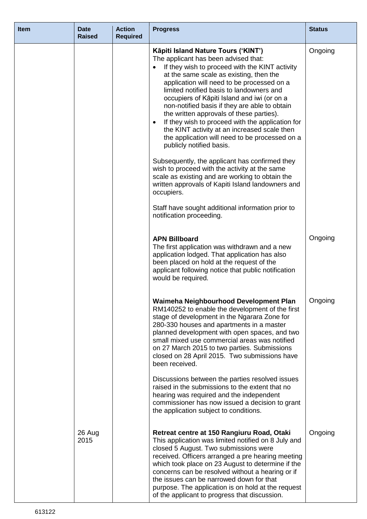| <b>Item</b> | <b>Date</b><br><b>Raised</b> | <b>Action</b><br><b>Required</b> | <b>Progress</b>                                                                                                                                                                                                                                                                                                                                                                                                                                                                                                                                                                                               | <b>Status</b> |
|-------------|------------------------------|----------------------------------|---------------------------------------------------------------------------------------------------------------------------------------------------------------------------------------------------------------------------------------------------------------------------------------------------------------------------------------------------------------------------------------------------------------------------------------------------------------------------------------------------------------------------------------------------------------------------------------------------------------|---------------|
|             |                              |                                  | Kāpiti Island Nature Tours ('KINT')<br>The applicant has been advised that:<br>If they wish to proceed with the KINT activity<br>at the same scale as existing, then the<br>application will need to be processed on a<br>limited notified basis to landowners and<br>occupiers of Kāpiti Island and iwi (or on a<br>non-notified basis if they are able to obtain<br>the written approvals of these parties).<br>If they wish to proceed with the application for<br>$\bullet$<br>the KINT activity at an increased scale then<br>the application will need to be processed on a<br>publicly notified basis. | Ongoing       |
|             |                              |                                  | Subsequently, the applicant has confirmed they<br>wish to proceed with the activity at the same<br>scale as existing and are working to obtain the<br>written approvals of Kapiti Island landowners and<br>occupiers.                                                                                                                                                                                                                                                                                                                                                                                         |               |
|             |                              |                                  | Staff have sought additional information prior to<br>notification proceeding.                                                                                                                                                                                                                                                                                                                                                                                                                                                                                                                                 |               |
|             |                              |                                  | <b>APN Billboard</b><br>The first application was withdrawn and a new<br>application lodged. That application has also<br>been placed on hold at the request of the<br>applicant following notice that public notification<br>would be required.                                                                                                                                                                                                                                                                                                                                                              | Ongoing       |
|             |                              |                                  | Waimeha Neighbourhood Development Plan<br>RM140252 to enable the development of the first<br>stage of development in the Ngarara Zone for<br>280-330 houses and apartments in a master<br>planned development with open spaces, and two<br>small mixed use commercial areas was notified<br>on 27 March 2015 to two parties. Submissions<br>closed on 28 April 2015. Two submissions have<br>been received.                                                                                                                                                                                                   | Ongoing       |
|             |                              |                                  | Discussions between the parties resolved issues<br>raised in the submissions to the extent that no<br>hearing was required and the independent<br>commissioner has now issued a decision to grant<br>the application subject to conditions.                                                                                                                                                                                                                                                                                                                                                                   |               |
|             | 26 Aug<br>2015               |                                  | Retreat centre at 150 Rangiuru Road, Otaki<br>This application was limited notified on 8 July and<br>closed 5 August. Two submissions were<br>received. Officers arranged a pre hearing meeting<br>which took place on 23 August to determine if the<br>concerns can be resolved without a hearing or if<br>the issues can be narrowed down for that<br>purpose. The application is on hold at the request<br>of the applicant to progress that discussion.                                                                                                                                                   | Ongoing       |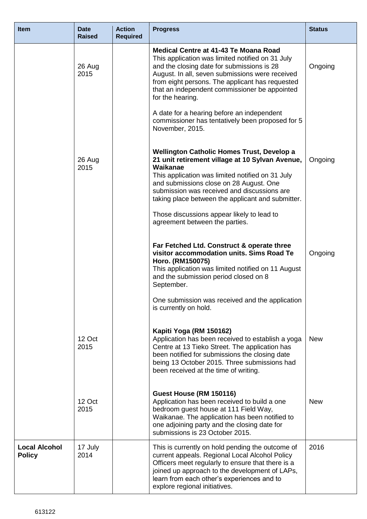| <b>Item</b>                           | <b>Date</b><br><b>Raised</b> | <b>Action</b><br><b>Required</b> | <b>Progress</b>                                                                                                                                                                                                                                                                                                           | <b>Status</b> |
|---------------------------------------|------------------------------|----------------------------------|---------------------------------------------------------------------------------------------------------------------------------------------------------------------------------------------------------------------------------------------------------------------------------------------------------------------------|---------------|
|                                       | 26 Aug<br>2015               |                                  | <b>Medical Centre at 41-43 Te Moana Road</b><br>This application was limited notified on 31 July<br>and the closing date for submissions is 28<br>August. In all, seven submissions were received<br>from eight persons. The applicant has requested<br>that an independent commissioner be appointed<br>for the hearing. | Ongoing       |
|                                       |                              |                                  | A date for a hearing before an independent<br>commissioner has tentatively been proposed for 5<br>November, 2015.                                                                                                                                                                                                         |               |
|                                       | 26 Aug<br>2015               |                                  | <b>Wellington Catholic Homes Trust, Develop a</b><br>21 unit retirement village at 10 Sylvan Avenue,<br>Waikanae<br>This application was limited notified on 31 July<br>and submissions close on 28 August. One<br>submission was received and discussions are<br>taking place between the applicant and submitter.       | Ongoing       |
|                                       |                              |                                  | Those discussions appear likely to lead to<br>agreement between the parties.                                                                                                                                                                                                                                              |               |
|                                       |                              |                                  | Far Fetched Ltd. Construct & operate three<br>visitor accommodation units. Sims Road Te<br>Horo. (RM150075)<br>This application was limited notified on 11 August<br>and the submission period closed on 8<br>September.                                                                                                  | Ongoing       |
|                                       |                              |                                  | One submission was received and the application<br>is currently on hold.                                                                                                                                                                                                                                                  |               |
|                                       | 12 Oct<br>2015               |                                  | Kapiti Yoga (RM 150162)<br>Application has been received to establish a yoga<br>Centre at 13 Tieko Street. The application has<br>been notified for submissions the closing date<br>being 13 October 2015. Three submissions had<br>been received at the time of writing.                                                 | <b>New</b>    |
|                                       | 12 Oct<br>2015               |                                  | Guest House (RM 150116)<br>Application has been received to build a one<br>bedroom guest house at 111 Field Way,<br>Waikanae. The application has been notified to<br>one adjoining party and the closing date for<br>submissions is 23 October 2015.                                                                     | <b>New</b>    |
| <b>Local Alcohol</b><br><b>Policy</b> | 17 July<br>2014              |                                  | This is currently on hold pending the outcome of<br>current appeals. Regional Local Alcohol Policy<br>Officers meet regularly to ensure that there is a<br>joined up approach to the development of LAPs,<br>learn from each other's experiences and to<br>explore regional initiatives.                                  | 2016          |